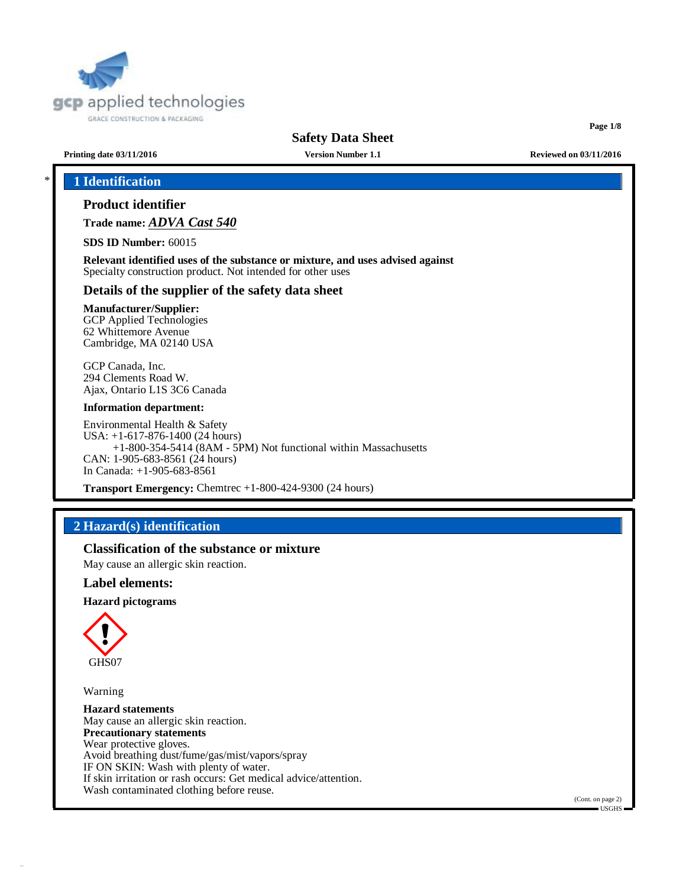

# **Safety Data Sheet**

**Page 1/8**

**Printing date 03/11/2016 Version Number 1.1 Reviewed on 03/11/2016**

# \* **1 Identification**

# **Product identifier**

**Trade name:** *ADVA Cast 540*

**SDS ID Number:** 60015

**Relevant identified uses of the substance or mixture, and uses advised against** Specialty construction product. Not intended for other uses

## **Details of the supplier of the safety data sheet**

## **Manufacturer/Supplier:**

GCP Applied Technologies 62 Whittemore Avenue Cambridge, MA 02140 USA

GCP Canada, Inc. 294 Clements Road W. Ajax, Ontario L1S 3C6 Canada

#### **Information department:**

Environmental Health & Safety USA: +1-617-876-1400 (24 hours) +1-800-354-5414 (8AM - 5PM) Not functional within Massachusetts CAN: 1-905-683-8561 (24 hours) In Canada: +1-905-683-8561

**Transport Emergency:** Chemtrec +1-800-424-9300 (24 hours)

# **2 Hazard(s) identification**

# **Classification of the substance or mixture**

May cause an allergic skin reaction.

#### **Label elements:**

#### **Hazard pictograms**



Warning

**Hazard statements** May cause an allergic skin reaction. **Precautionary statements** Wear protective gloves. Avoid breathing dust/fume/gas/mist/vapors/spray IF ON SKIN: Wash with plenty of water. If skin irritation or rash occurs: Get medical advice/attention. Wash contaminated clothing before reuse.

(Cont. on page 2)  $=$  USGHS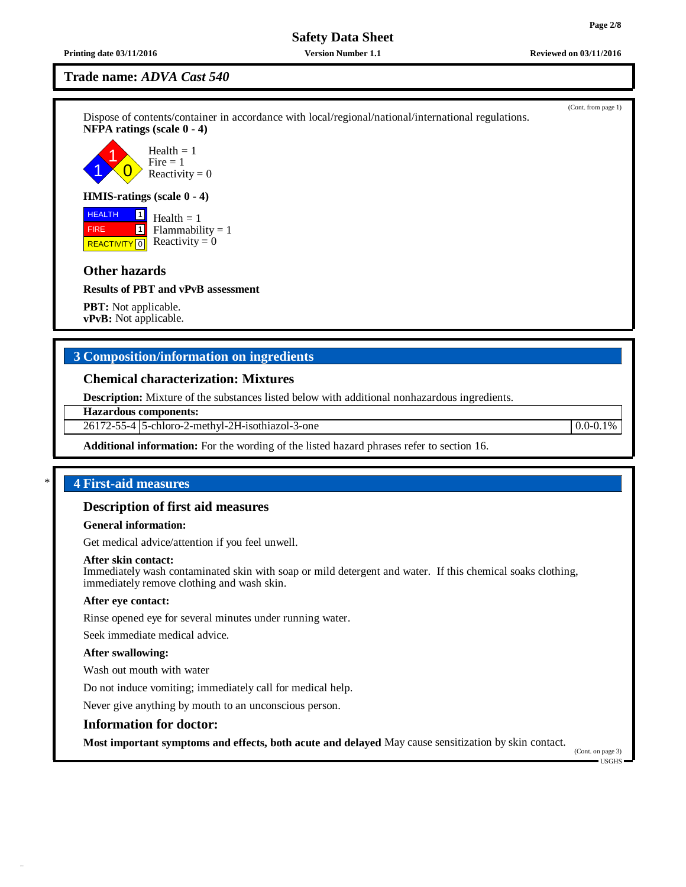**Printing date 03/11/2016 Version Number 1.1 Reviewed on 03/11/2016**

# **Trade name:** *ADVA Cast 540*

Dispose of contents/container in accordance with local/regional/national/international regulations. **NFPA ratings (scale 0 - 4)**

1 1  $\overline{0}$ Health  $= 1$  $Fire = 1$ Reactivity  $= 0$ 

### **HMIS-ratings (scale 0 - 4)**

 HEALTH FIRE **REACTIVITY** 0 1 1  $Health = 1$  $Flammability = 1$ Reactivity  $= 0$ 

# **Other hazards**

**Results of PBT and vPvB assessment**

**PBT:** Not applicable. **vPvB:** Not applicable.

# **3 Composition/information on ingredients**

### **Chemical characterization: Mixtures**

**Description:** Mixture of the substances listed below with additional nonhazardous ingredients.

## **Hazardous components:**

26172-55-4 5-chloro-2-methyl-2H-isothiazol-3-one 0.0-0.1%

**Additional information:** For the wording of the listed hazard phrases refer to section 16.

# \* **4 First-aid measures**

# **Description of first aid measures**

## **General information:**

Get medical advice/attention if you feel unwell.

#### **After skin contact:**

Immediately wash contaminated skin with soap or mild detergent and water. If this chemical soaks clothing, immediately remove clothing and wash skin.

#### **After eye contact:**

Rinse opened eye for several minutes under running water.

Seek immediate medical advice.

#### **After swallowing:**

Wash out mouth with water

Do not induce vomiting; immediately call for medical help.

Never give anything by mouth to an unconscious person.

#### **Information for doctor:**

**Most important symptoms and effects, both acute and delayed** May cause sensitization by skin contact.

(Cont. on page 3) USGHS

(Cont. from page 1)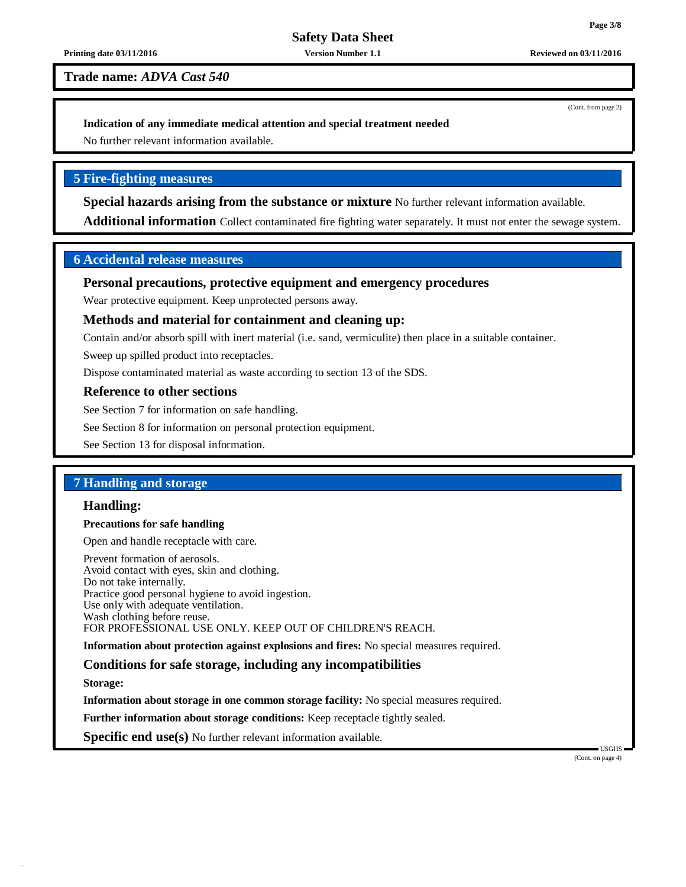# **Safety Data Sheet**

#### **Printing date 03/11/2016 Version Number 1.1 Reviewed on 03/11/2016**

**Trade name:** *ADVA Cast 540*

(Cont. from page 2)

## **Indication of any immediate medical attention and special treatment needed**

No further relevant information available.

# **5 Fire-fighting measures**

**Special hazards arising from the substance or mixture** No further relevant information available.

**Additional information** Collect contaminated fire fighting water separately. It must not enter the sewage system.

# **6 Accidental release measures**

# **Personal precautions, protective equipment and emergency procedures**

Wear protective equipment. Keep unprotected persons away.

# **Methods and material for containment and cleaning up:**

Contain and/or absorb spill with inert material (i.e. sand, vermiculite) then place in a suitable container.

Sweep up spilled product into receptacles.

Dispose contaminated material as waste according to section 13 of the SDS.

## **Reference to other sections**

See Section 7 for information on safe handling.

See Section 8 for information on personal protection equipment.

See Section 13 for disposal information.

# **7 Handling and storage**

# **Handling:**

## **Precautions for safe handling**

Open and handle receptacle with care.

Prevent formation of aerosols. Avoid contact with eyes, skin and clothing. Do not take internally. Practice good personal hygiene to avoid ingestion. Use only with adequate ventilation. Wash clothing before reuse. FOR PROFESSIONAL USE ONLY. KEEP OUT OF CHILDREN'S REACH.

**Information about protection against explosions and fires:** No special measures required.

# **Conditions for safe storage, including any incompatibilities**

**Storage:**

**Information about storage in one common storage facility:** No special measures required.

**Further information about storage conditions:** Keep receptacle tightly sealed.

**Specific end use(s)** No further relevant information available.

USGHS (Cont. on page 4)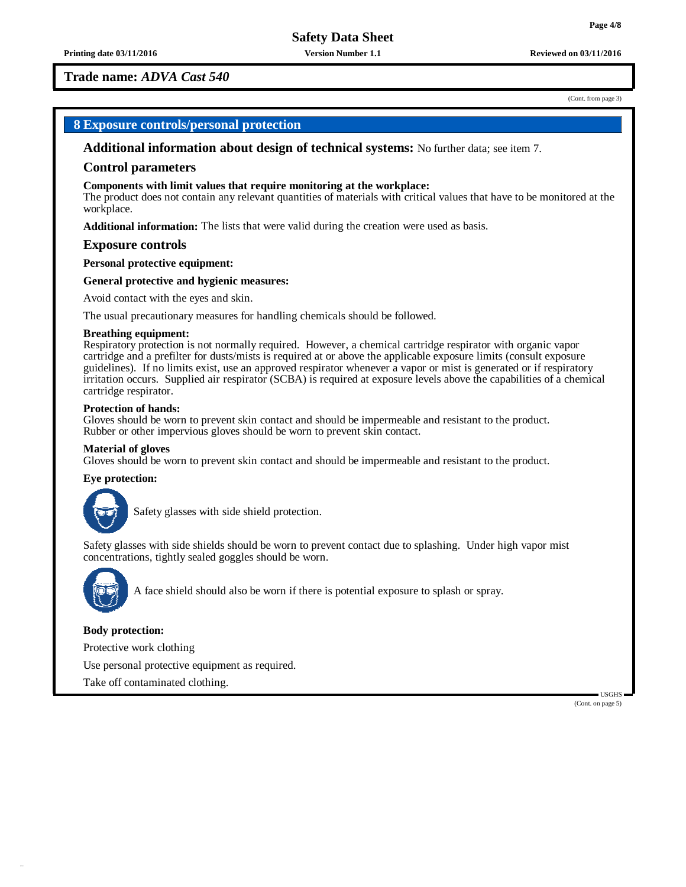**Printing date 03/11/2016 Version Number 1.1 Reviewed on 03/11/2016**

**Trade name:** *ADVA Cast 540*

(Cont. from page 3)

# **8 Exposure controls/personal protection**

**Additional information about design of technical systems:** No further data; see item 7.

#### **Control parameters**

#### **Components with limit values that require monitoring at the workplace:**

The product does not contain any relevant quantities of materials with critical values that have to be monitored at the workplace.

**Additional information:** The lists that were valid during the creation were used as basis.

#### **Exposure controls**

**Personal protective equipment:**

#### **General protective and hygienic measures:**

Avoid contact with the eyes and skin.

The usual precautionary measures for handling chemicals should be followed.

#### **Breathing equipment:**

Respiratory protection is not normally required. However, a chemical cartridge respirator with organic vapor cartridge and a prefilter for dusts/mists is required at or above the applicable exposure limits (consult exposure guidelines). If no limits exist, use an approved respirator whenever a vapor or mist is generated or if respiratory irritation occurs. Supplied air respirator (SCBA) is required at exposure levels above the capabilities of a chemical cartridge respirator.

#### **Protection of hands:**

Gloves should be worn to prevent skin contact and should be impermeable and resistant to the product. Rubber or other impervious gloves should be worn to prevent skin contact.

#### **Material of gloves**

Gloves should be worn to prevent skin contact and should be impermeable and resistant to the product.

#### **Eye protection:**



Safety glasses with side shield protection.

Safety glasses with side shields should be worn to prevent contact due to splashing. Under high vapor mist concentrations, tightly sealed goggles should be worn.



A face shield should also be worn if there is potential exposure to splash or spray.

#### **Body protection:**

Protective work clothing

Use personal protective equipment as required.

Take off contaminated clothing.

(Cont. on page 5)

USGHS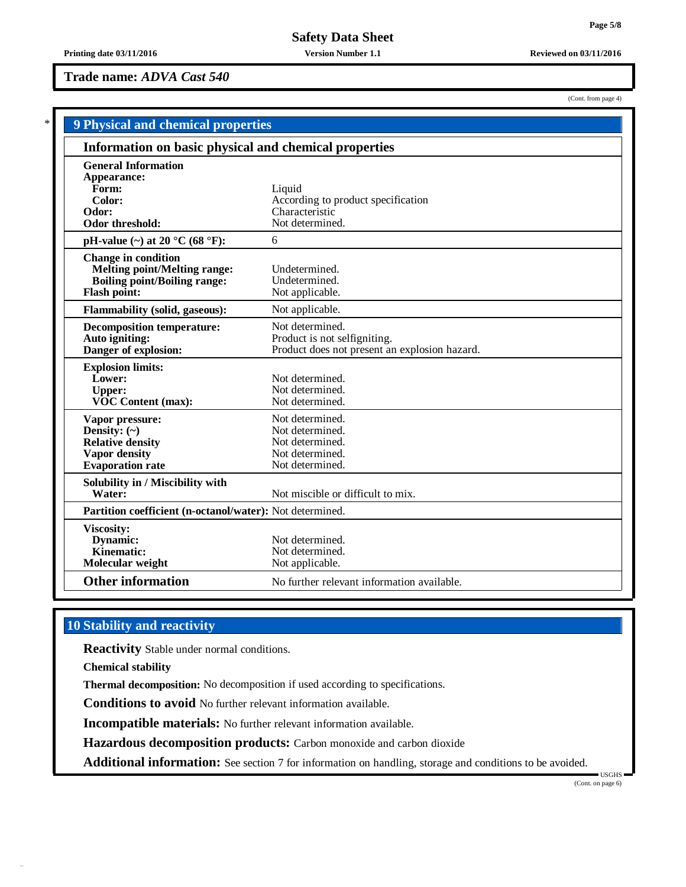# **Trade name:** *ADVA Cast 540*

|                                                                                                                                 | <b>9 Physical and chemical properties</b>                                                        |  |  |  |  |
|---------------------------------------------------------------------------------------------------------------------------------|--------------------------------------------------------------------------------------------------|--|--|--|--|
|                                                                                                                                 | Information on basic physical and chemical properties                                            |  |  |  |  |
| <b>General Information</b><br>Appearance:                                                                                       |                                                                                                  |  |  |  |  |
| Form:<br>Color:                                                                                                                 | Liquid<br>According to product specification                                                     |  |  |  |  |
| Odor:<br>Odor threshold:                                                                                                        | Characteristic<br>Not determined.                                                                |  |  |  |  |
| pH-value $(\sim)$ at 20 °C (68 °F):                                                                                             | 6                                                                                                |  |  |  |  |
| <b>Change in condition</b><br><b>Melting point/Melting range:</b><br><b>Boiling point/Boiling range:</b><br><b>Flash point:</b> | Undetermined.<br>Undetermined.<br>Not applicable.                                                |  |  |  |  |
| <b>Flammability (solid, gaseous):</b>                                                                                           | Not applicable.                                                                                  |  |  |  |  |
| <b>Decomposition temperature:</b><br>Auto igniting:<br>Danger of explosion:                                                     | Not determined.<br>Product is not selfigniting.<br>Product does not present an explosion hazard. |  |  |  |  |
| <b>Explosion limits:</b><br>Lower:<br><b>Upper:</b><br><b>VOC Content (max):</b>                                                | Not determined.<br>Not determined.<br>Not determined.                                            |  |  |  |  |
| Vapor pressure:<br>Density: $(\sim)$<br><b>Relative density</b><br>Vapor density<br><b>Evaporation</b> rate                     | Not determined.<br>Not determined.<br>Not determined.<br>Not determined.<br>Not determined.      |  |  |  |  |
| Solubility in / Miscibility with<br>Water:                                                                                      | Not miscible or difficult to mix.                                                                |  |  |  |  |
| Partition coefficient (n-octanol/water): Not determined.                                                                        |                                                                                                  |  |  |  |  |
| <b>Viscosity:</b><br>Dynamic:<br>Kinematic:<br>Molecular weight                                                                 | Not determined.<br>Not determined.<br>Not applicable.                                            |  |  |  |  |
| <b>Other information</b>                                                                                                        | No further relevant information available.                                                       |  |  |  |  |

# **10 Stability and reactivity**

**Reactivity** Stable under normal conditions.

**Chemical stability**

**Thermal decomposition:** No decomposition if used according to specifications.

**Conditions to avoid** No further relevant information available.

**Incompatible materials:** No further relevant information available.

**Hazardous decomposition products:** Carbon monoxide and carbon dioxide

**Additional information:** See section 7 for information on handling, storage and conditions to be avoided.

USGHS (Cont. on page 6)

(Cont. from page 4)

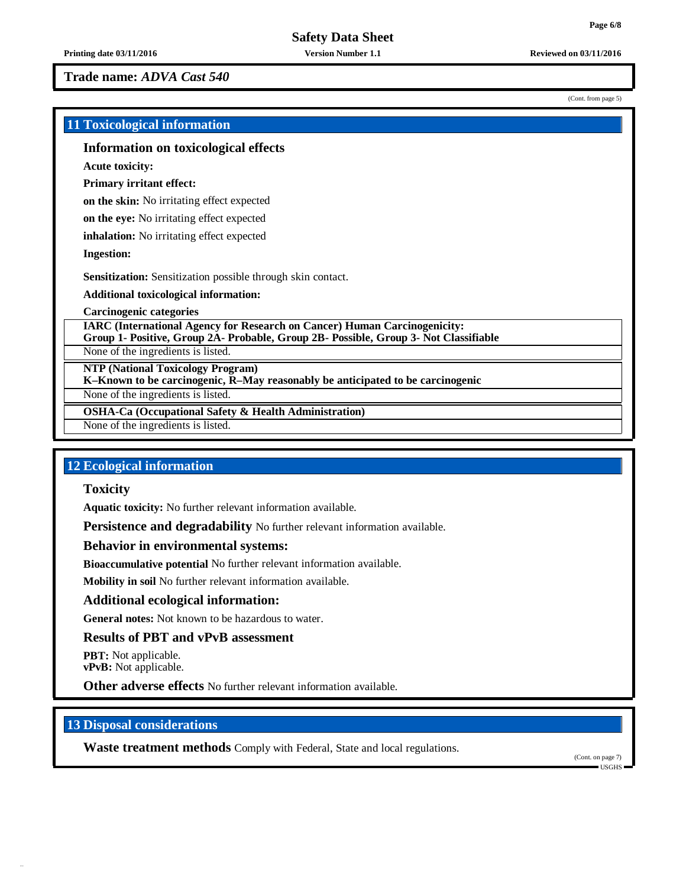**Trade name:** *ADVA Cast 540*

 $(C_{\text{opt}} \text{ from } \text{pose } 5)$ 

| (Com. nom page $J$ )                                                                                                                                                     |  |
|--------------------------------------------------------------------------------------------------------------------------------------------------------------------------|--|
| <b>11 Toxicological information</b>                                                                                                                                      |  |
| <b>Information on toxicological effects</b>                                                                                                                              |  |
| <b>Acute toxicity:</b>                                                                                                                                                   |  |
| <b>Primary irritant effect:</b>                                                                                                                                          |  |
| on the skin: No irritating effect expected                                                                                                                               |  |
| on the eye: No irritating effect expected                                                                                                                                |  |
| inhalation: No irritating effect expected                                                                                                                                |  |
| <b>Ingestion:</b>                                                                                                                                                        |  |
| <b>Sensitization:</b> Sensitization possible through skin contact.                                                                                                       |  |
| <b>Additional toxicological information:</b>                                                                                                                             |  |
| <b>Carcinogenic categories</b>                                                                                                                                           |  |
| <b>IARC (International Agency for Research on Cancer) Human Carcinogenicity:</b><br>Group 1- Positive, Group 2A- Probable, Group 2B- Possible, Group 3- Not Classifiable |  |
| None of the ingredients is listed.                                                                                                                                       |  |
| <b>NTP (National Toxicology Program)</b><br>K-Known to be carcinogenic, R-May reasonably be anticipated to be carcinogenic                                               |  |
| None of the ingredients is listed.                                                                                                                                       |  |
| <b>OSHA-Ca (Occupational Safety &amp; Health Administration)</b>                                                                                                         |  |
| None of the ingredients is listed.                                                                                                                                       |  |

# **12 Ecological information**

**Toxicity**

**Aquatic toxicity:** No further relevant information available.

**Persistence and degradability** No further relevant information available.

## **Behavior in environmental systems:**

**Bioaccumulative potential** No further relevant information available.

**Mobility in soil** No further relevant information available.

# **Additional ecological information:**

**General notes:** Not known to be hazardous to water.

# **Results of PBT and vPvB assessment**

**PBT:** Not applicable. **vPvB:** Not applicable.

**Other adverse effects** No further relevant information available.

# **13 Disposal considerations**

**Waste treatment methods** Comply with Federal, State and local regulations.

(Cont. on page 7) USGHS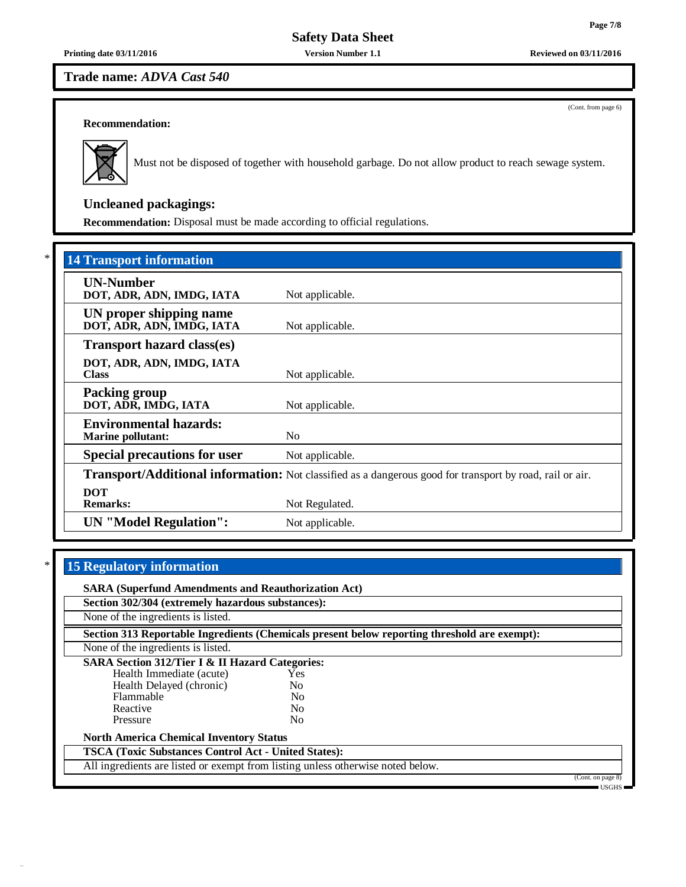**Safety Data Sheet**

**Printing date 03/11/2016 Version Number 1.1 Reviewed on 03/11/2016**

**Trade name:** *ADVA Cast 540*

(Cont. from page 6)

# **Recommendation:**



Must not be disposed of together with household garbage. Do not allow product to reach sewage system.

# **Uncleaned packagings:**

**Recommendation:** Disposal must be made according to official regulations.

| <b>14 Transport information</b>                           |                                                                                                          |
|-----------------------------------------------------------|----------------------------------------------------------------------------------------------------------|
| <b>UN-Number</b><br>DOT, ADR, ADN, IMDG, IATA             | Not applicable.                                                                                          |
| UN proper shipping name<br>DOT, ADR, ADN, IMDG, IATA      | Not applicable.                                                                                          |
| <b>Transport hazard class(es)</b>                         |                                                                                                          |
| DOT, ADR, ADN, IMDG, IATA<br><b>Class</b>                 | Not applicable.                                                                                          |
| <b>Packing group</b><br>DOT, ADR, IMDG, IATA              | Not applicable.                                                                                          |
| <b>Environmental hazards:</b><br><b>Marine pollutant:</b> | N <sub>0</sub>                                                                                           |
| <b>Special precautions for user</b>                       | Not applicable.                                                                                          |
|                                                           | Transport/Additional information: Not classified as a dangerous good for transport by road, rail or air. |
| <b>DOT</b><br><b>Remarks:</b>                             | Not Regulated.                                                                                           |
| <b>UN</b> "Model Regulation":                             | Not applicable.                                                                                          |

# \* **15 Regulatory information**

| <b>SARA (Superfund Amendments and Reauthorization Act)</b>                      |                |                                                                                              |                   |  |  |
|---------------------------------------------------------------------------------|----------------|----------------------------------------------------------------------------------------------|-------------------|--|--|
| Section 302/304 (extremely hazardous substances):                               |                |                                                                                              |                   |  |  |
| None of the ingredients is listed.                                              |                |                                                                                              |                   |  |  |
|                                                                                 |                | Section 313 Reportable Ingredients (Chemicals present below reporting threshold are exempt): |                   |  |  |
| None of the ingredients is listed.                                              |                |                                                                                              |                   |  |  |
| <b>SARA Section 312/Tier I &amp; II Hazard Categories:</b>                      |                |                                                                                              |                   |  |  |
| Health Immediate (acute)                                                        | <b>Yes</b>     |                                                                                              |                   |  |  |
| Health Delayed (chronic)                                                        | N <sub>0</sub> |                                                                                              |                   |  |  |
| Flammable                                                                       | N <sub>0</sub> |                                                                                              |                   |  |  |
| Reactive                                                                        | N <sub>0</sub> |                                                                                              |                   |  |  |
| Pressure                                                                        | No.            |                                                                                              |                   |  |  |
| <b>North America Chemical Inventory Status</b>                                  |                |                                                                                              |                   |  |  |
| <b>TSCA (Toxic Substances Control Act - United States):</b>                     |                |                                                                                              |                   |  |  |
| All ingredients are listed or exempt from listing unless otherwise noted below. |                |                                                                                              |                   |  |  |
|                                                                                 |                |                                                                                              | (Cont. on page 8) |  |  |
|                                                                                 |                |                                                                                              | $-$ USGHS $-$     |  |  |